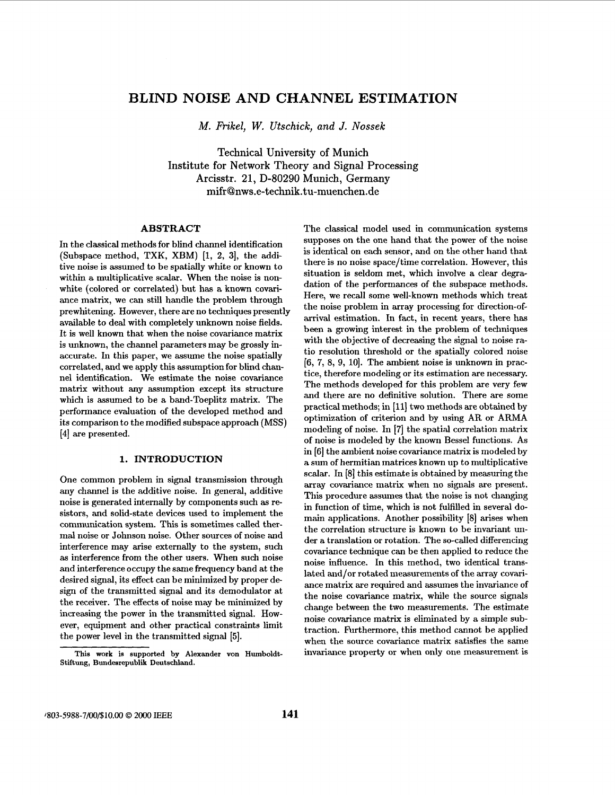# **BLIND NOISE AND CHANNEL ESTIMATION**

*M. Frikel, W. Utschick, and J. Nossek* 

Technical University of Munich Institute for Network Theory and Signal Processing Arcisstr. **21, D-80290** Munich, Germany mifr @nws.e-technik. tu-muenchen. de

## **ABSTRACT**

In the classical methods for blind channel identification (Subspace method, TXK, **XBM)** [l, **2, 31,** the additive noise is assumed to be spatially white or known to within a multiplicative scalar. When the noise is nonwhite (colored or correlated) but has a known covariance matrix, we can still handle the problem through prewhitening. However, there are no techniques presently available to deal with completely unknown noise fields. It is well known that when the noise covariance matrix is unknown, the channel parameters may be grossly inaccurate. In this paper, we assume the noise spatially correlated, and we apply this assumption for blind channel identification. We estimate the noise covariance matrix without any assumption except its structure which is assumed to be a band-Toeplitz matrix. The performance evaluation of the developed method and its comparison to the modified subspace approach (MSS) **[4]** are presented.

### **1. INTRODUCTION**

One common problem in signal transmission through any channel is the additive noise. In general, additive noise is generated internally by components such **as** resistors, and solid-state devices used to implement the communication system. This is sometimes called thermal noise or Johnson noise. Other sources of noise and interference may arise externally to the system, such **as** interference from the other users. When such noise and interference occupy the same frequency band at the desired signal, its effect can be minimized by proper design of the transmitted signal and its demodulator at the receiver. The effects of noise may be minimized by increasing the power in the transmitted signal. However, equipment and other practical constraints limit the power level in the transmitted signal *[5].* 

The classical model used in communication systems supposes on the one hand that the power of the noise is identical on each sensor, and on the other hand that there is no noise space/time correlation. However, this situation is seldom met, which involve a clear degradation of the performances of the subspace methods. Here, we recall some well-known methods which treat the noise problem in array processing for direction-ofarrival estimation. In fact, in recent years, there has been a growing interest in the problem of techniques with the objective of decreasing the signal to noise ratio resolution threshold or the spatially colored noise **[6,** 7, 8, **9,** lo]. The ambient noise is unknown in practice, therefore modeling or its estimation are necessary. The methods developed for this problem are very few and there are no definitive solution. There are some practical methods; in [ll] two methods are obtained by optimization of criterion and by using AR or ARMA modeling of noise. In [7] the spatial correlation matrix of noise is modeled by the known Bessel functions. As in **[6]** the ambient noise covariance matrix is modeled by a sum of hermitian matrices known up to multiplicative scalar. In [8] this estimate is obtained by measuring the array covariance matrix when no signals are present. This procedure assumes that the noise is not changing in function of time, which is not fulfilled in several domain applications. Another possibility [8] arises when the correlation structure is known to be invariant under a translation or rotation. The so-called differencing covariance technique can be then applied to reduce the noise influence. In this method, two identical translated and/or rotated measurements of the array covariance matrix are required and assumes the invariance of the noise covariance matrix, while the source signals change between the two measurements. The estimate noise covariance matrix is eliminated by a simple subtraction. Furthermore, this method cannot be applied when the source covariance matrix satisfies the same invariance property or when only one measurement is

**This work is supported by Alexander von Humboldt-Stiftung, Bundesrepublik Deutschland.**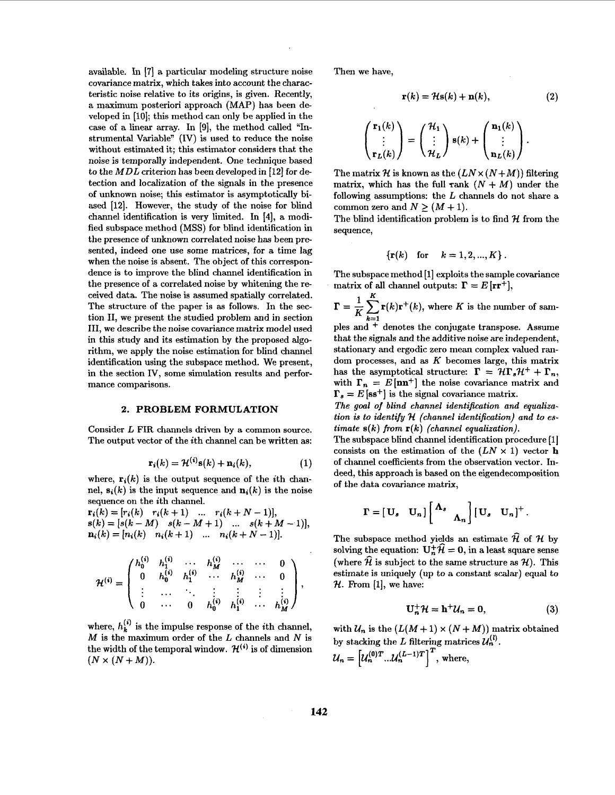available. In [7] a particular modeling structure noise covariance matrix, which takes into account the characteristic noise relative to its origins, is given. Recently, a maximum posteriori approach (MAP) has been developed in [10]; this method can only be applied in the case of a linear array. In **(91,** the method called "Instrumental Variable" (IV) is used to reduce the noise without estimated it; this estimator considers that the noise is temporally independent. One technique based to the MDL criterion has been developed in [12] for detection and localization of the signals in the presence of unknown noise; this estimator is asymptotically biased **[12].** However, the study of the noise for blind channel identification is very limited. In **[4],** a modified subspace method **(MSS)** for blind identification in the presence of unknown correlated noise has been presented, indeed one use some matrices, for a time lag when the noise is absent. The object of this correspondence is to improve the blind channel identification in the presence of a correlated noise by whitening the **re**ceived data. The noise is assumed spatially correlated. The structure of the paper is **as** follows. In the section 11, we present the studied problem and in section 111, we describe the noise covariance matrix model used in this study and its estimation by the proposed algorithm, we apply the noise estimation for blind channel identification using the subspace method. We present, in the section IV, some simulation results and performance comparisons.

### **2. PROBLEM FORMULATION**

Consider *L* FIR channels driven by **a** common source. The output vector of the ith channel can be written as:

$$
\mathbf{r}_i(k) = \mathcal{H}^{(i)}\mathbf{s}(k) + \mathbf{n}_i(k),\tag{1}
$$

where,  $\mathbf{r}_i(k)$  is the output sequence of the *i*th channel,  $s_i(k)$  is the input sequence and  $\mathbf{n}_i(k)$  is the noise sequence on the ith channel.

 $\mathbf{r}_i(k) = [r_i(k) \quad r_i(k+1) \quad \dots \quad r_i(k+N-1)],$  $\mathbf{r}_i(k) = [r_i(k) \quad r_i(k+1) \quad \dots \quad r_i(k+N-1)],$ <br>  $\mathbf{s}(k) = [s(k-M) \quad s(k-M+1) \quad \dots \quad s(k+M-1)],$  $n_i(k) = [n_i(k) \quad n_i(k+1) \quad \dots \quad n_i(k+N-1)].$ 

$$
\mathcal{H}^{(i)} = \begin{pmatrix} h_0^{(i)} & h_1^{(i)} & \cdots & h_M^{(i)} & \cdots & \cdots & 0 \\ 0 & h_0^{(i)} & h_1^{(i)} & \cdots & h_M^{(i)} & \cdots & 0 \\ \vdots & \cdots & \ddots & \vdots & \vdots & \vdots & \vdots \\ 0 & \cdots & 0 & h_0^{(i)} & h_1^{(i)} & \cdots & h_M^{(i)} \end{pmatrix},
$$

where,  $h_k^{(i)}$  is the impulse response of the *i*th channel, M is the maximum order of the *L* channels and N is the width of the temporal window.  $\mathcal{H}^{(i)}$  is of dimension  $(N \times (N+M)).$ 

Then we have,

$$
\mathbf{r}(k) = \mathcal{H}\mathbf{s}(k) + \mathbf{n}(k),\tag{2}
$$

$$
\begin{pmatrix} \mathbf{r}_1(k) \\ \vdots \\ \mathbf{r}_L(k) \end{pmatrix} = \begin{pmatrix} \mathcal{H}_1 \\ \vdots \\ \mathcal{H}_L \end{pmatrix} \mathbf{s}(k) + \begin{pmatrix} \mathbf{n}_1(k) \\ \vdots \\ \mathbf{n}_L(k) \end{pmatrix}.
$$

The matrix  $\mathcal H$  is known as the  $(LN \times (N+M))$  filtering matrix, which has the full rank  $(N + M)$  under the following assumptions: the *L* channels do not share a common zero and  $N \geq (M + 1)$ .

The blind identification problem is to find  $H$  from the sequence,

$$
\{r(k) \text{ for } k = 1, 2, ..., K\}.
$$

The subspace method **[l]** exploits the sample covariance

matrix of all channel outputs: 
$$
\Gamma = E[\mathbf{r}\mathbf{r}^+]
$$
,  
\n
$$
\Gamma = \frac{1}{K} \sum_{k=1}^{K} \mathbf{r}(k) \mathbf{r}^+(k)
$$
, where K is the number of sam-

ples and + denotes the conjugate transpose. Assume that the signals and the additive noise are independent, stationary and ergodic zero mean complex valued random processes, and as *K* becomes large, this matrix has the asymptotical structure:  $\mathbf{\Gamma} = \mathcal{H}\mathbf{\Gamma}_s\mathcal{H}^+ + \mathbf{\Gamma}_n$ , with  $\mathbf{\Gamma}_n = E[\mathbf{n}\mathbf{n}^+]$  the noise covariance matrix and  $\Gamma_s = E$  [ss<sup>+</sup>] is the signal covariance matrix.

*The* goal *of blind channel identification and equalization is to identify* 31 *(channel identification) and to estimate*  $s(k)$  *from*  $r(k)$  *(channel equalization).* 

The subspace blind channel identification procedure [l] consists on the estimation of the  $(LN \times 1)$  vector **h** of channel coefficients from the observation vector. Indeed, this approach is based on the eigendecomposition of the data covariance matrix,

$$
\Gamma = [\mathbf{U}_s \quad \mathbf{U}_n] \begin{bmatrix} \mathbf{\Lambda}_s \\ \mathbf{\Lambda}_n \end{bmatrix} [\mathbf{U}_s \quad \mathbf{U}_n]^+.
$$

The subspace method yields an estimate  $\widehat{\mathcal{H}}$  of  $\mathcal{H}$  by solving the equation:  $U_n^+ \hat{H} = 0$ , in a least square sense (where  $\hat{\mathcal{H}}$  is subject to the same structure as  $\mathcal{H}$ ). This estimate is uniquely (up to a constant scalar) equal to  $H.$  From [1], we have:

$$
\mathbf{U}_n^+ \mathcal{H} = \mathbf{h}^+ \mathcal{U}_n = 0, \tag{3}
$$

with  $U_n$  is the  $(L(M+1) \times (N+M))$  matrix obtained by stacking the L filtering matrices  $\mathcal{U}_n^{(l)}$ .

$$
\mathcal{U}_n = \left[ \mathcal{U}_n^{(0)T} \dots \mathcal{U}_n^{(L-1)T} \right]^T
$$
, where,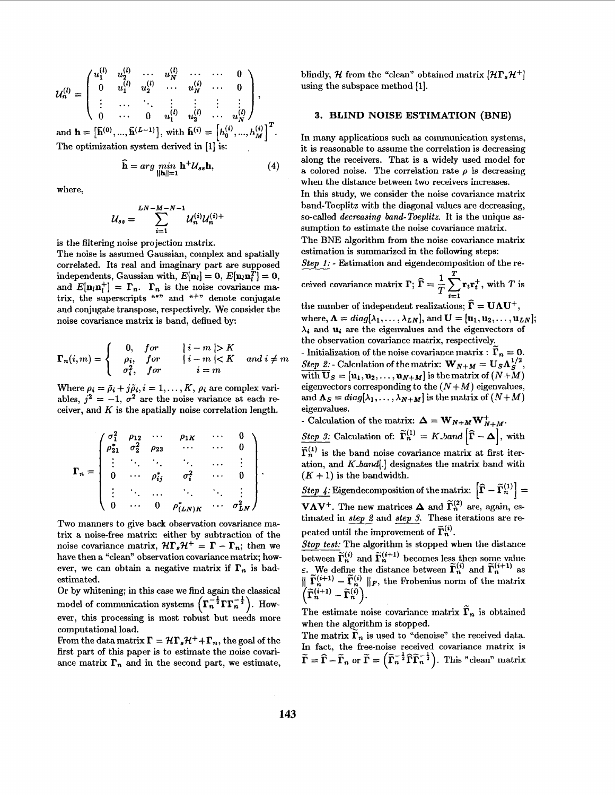$$
\mathcal{U}_n^{(l)} = \begin{pmatrix} u_1^{(l)} & u_2^{(l)} & \cdots & u_N^{(l)} & \cdots & 0 \\ 0 & u_1^{(l)} & u_2^{(l)} & \cdots & u_N^{(i)} & \cdots & 0 \\ \vdots & \cdots & \ddots & \vdots & \vdots & \vdots & \vdots \\ 0 & \cdots & 0 & u_1^{(l)} & u_2^{(l)} & \cdots & u_N^{(l)} \end{pmatrix},
$$
 and 
$$
\mathbf{h} = [\bar{\mathbf{h}}^{(0)}, ..., \bar{\mathbf{h}}^{(L-1)}],
$$
 with  $\bar{\mathbf{h}}^{(i)} = [h_0^{(i)}, ..., h_M^{(i)}]^T$ .

The optimization system derived in [1] is:

$$
\widehat{\mathbf{h}} = arg \min_{\|\mathbf{h}\|=1} \mathbf{h}^+ \mathcal{U}_{ss} \mathbf{h},\tag{4}
$$

where,

$$
\mathcal{U}_{ss} = \sum_{i=1}^{LN-M-N-1} \mathcal{U}_n^{(i)} \mathcal{U}_n^{(i)+1}
$$

is the filtering noise projection matrix.

The noise is assumed Gaussian, complex and spatially correlated. Its real and imaginary part are supposed independents, Gaussian with,  $E[\mathbf{n}_l] = 0$ ,  $E[\mathbf{n}_l \mathbf{n}_l^T] = 0$ , and  $E[\mathbf{n}_l \mathbf{n}_l^+] = \mathbf{\Gamma}_n$ .  $\mathbf{\Gamma}_n$  is the noise covariance matrix, the superscripts "\*" and "<sup>+</sup>" denote conjugate and conjugate transpose, respectively. We consider the noise covariance matrix is band, defined by:

$$
\Gamma_n(i,m)=\left\{\begin{array}{ccc}0, &\text{for} &\text{ } |i-m|>K \\ \rho_i, &\text{for} &\text{ } |i-m|
$$

Where  $\rho_i = \bar{\rho}_i + j\tilde{\rho}_i, i = 1, \ldots, K, \rho_i$  are complex variables,  $j^2 = -1$ ,  $\sigma^2$  are the noise variance at each receiver, and *K* is the spatially noise correlation length.

$$
\Gamma_n = \begin{pmatrix} \sigma_1^2 & \rho_{12} & \cdots & \rho_{1K} & \cdots & 0 \\ \rho_{21}^* & \sigma_2^2 & \rho_{23} & \cdots & \cdots & 0 \\ \vdots & \ddots & \ddots & \ddots & \cdots & \vdots \\ 0 & \cdots & \rho_{ij}^* & \sigma_i^2 & \cdots & 0 \\ \vdots & \ddots & \cdots & \ddots & \ddots & \vdots \\ 0 & \cdots & 0 & \rho_{(LN)K}^* & \cdots & \sigma_{LN}^2 \end{pmatrix}.
$$

Two manners to give back observation covariance matrix a noise-free matrix: either by subtraction of the noise covariance matrix,  $\mathcal{H}\mathbf{\Gamma}_{s}\mathcal{H}^{+} = \mathbf{\Gamma} - \mathbf{\Gamma}_{n}$ ; then we have then a "clean" observation covariance matrix; however, we can obtain a negative matrix if  $\Gamma_n$  is badestimated.

Or by whitening; in this case we find again the classical model of communication systems  $(\Gamma_n^{-\frac{1}{2}}\Gamma\Gamma_n^{-\frac{1}{2}})$ . However, this processing is most robust but needs more computational load.

From the data matrix  $\mathbf{\Gamma} = \mathcal{H}\mathbf{\Gamma}_s\mathcal{H}^+ + \mathbf{\Gamma}_n$ , the goal of the first part of this paper is to estimate the noise covariance matrix  $\mathbf{\Gamma}_n$  and in the second part, we estimate, blindly, H from the "clean" obtained matrix  $[H\Gamma_s H^+]$ using the subspace method *[l].* 

# **3. BLIND NOISE ESTIMATION (BNE)** *1'*

In many applications such **as** communication systems, it is reasonable to assume the correlation is decreasing along the receivers. That is a widely used model for a colored noise. The correlation rate  $\rho$  is decreasing when the distance between two receivers increases. In this study, we consider the noise covariance matrix band-Toeplitz with the diagonal values are decreasing, so-called *decreasing band- Toeplitz.* It is the unique assumption to estimate the noise covariance matrix. The BNE algorithm from the noise covariance matrix estimation is summarized in the following steps: *Step 1:* - Estimation and eigendecomposition **of** the received covariance matrix  $\mathbf{\Gamma}$ ;  $\hat{\mathbf{\Gamma}} = \frac{1}{T} \sum_{t=1}^{T} \mathbf{r}_t \mathbf{r}_t^+$ , with T is the number of independent realizations;  $\hat{\mathbf{\Gamma}} = \mathbf{U}\mathbf{\Lambda}\mathbf{U}^+$ , where,  $\Lambda = diag[\lambda_1, \ldots, \lambda_{LN}]$ , and  $\mathbf{U} = [\mathbf{u}_1, \mathbf{u}_2, \ldots, \mathbf{u}_{LN}]$ ;  $\lambda_i$  and  $\mathbf{u}_i$  are the eigenvalues and the eigenvectors of the observation covariance matrix, respectively; - Initialization of the noise covariance matrix :  $\Gamma_n = 0$ . *Step 2:* - Calculation of the matrix:  $W_{N+M} = U_S \Lambda_S^{1/2}$ *t=l* 

with  $\overline{\mathbf{U}}_S = [\mathbf{u}_1, \mathbf{u}_2, \dots, \mathbf{u}_{N+M}]$  is the matrix of  $(N+M)$ eigenvectors corresponding to the  $(N+M)$  eigenvalues, and  $\Lambda_S = diag[\lambda_1, \ldots, \lambda_{N+M}]$  is the matrix of  $(N+M)$ eigenvalues.

- Calculation of the matrix:  $\mathbf{\Delta} = \mathbf{W}_{N+M}\mathbf{W}_{N+M}^+$ . *Step 3:* Calculation of:  $\tilde{\mathbf{r}}_n^{(1)} = K\_band \left[ \hat{\mathbf{r}} - \mathbf{\Delta} \right]$ , with  $\widetilde{\Gamma}_n^{(1)}$  is the band noise covariance matrix at first iteration, and *K-band[.]* designates the matrix band with  $(K + 1)$  is the bandwidth.

 $( K + 1)$  is the bandwidth.<br> *Step 4*: Eigendecomposition of the matrix:  $\left[ \widehat{\Gamma} - \widetilde{\Gamma}_n^{(1)} \right] =$ **VAV<sup>+</sup>**. The new matrices  $\Delta$  and  $\tilde{\Gamma}_n^{(2)}$  are, again, estimated in *step* 2 and *step* **3.** These iterations are repeated until the improvement of  $\tilde{\mathbf{\Gamma}}_n^{(i)}$ .

*Stop test:* The algorithm is stopped when the distance between  $\widetilde{\Gamma}_n^{(i)}$  and  $\widetilde{\Gamma}_n^{(i+1)}$  becomes less then some value  $\varepsilon$ . We define the distance between  $\tilde{\Gamma}_n^{(i)}$  and  $\tilde{\Gamma}_n^{(i+1)}$  as  $\|\widetilde{\Gamma}_n^{(i+1)} - \widetilde{\Gamma}_n^{(i)}\|_F$ , the Frobenius norm of the matrix  $(\widetilde{\Gamma}_n^{(i+1)} - \widetilde{\Gamma}_n^{(i)})$ .

The estimate noise covariance matrix  $\Gamma_n$  is obtained when the algorithm is stopped.

The matrix  $\Gamma_n$  is used to "denoise" the received data. In fact, the free-noise received covariance matrix is  $\widetilde{\Gamma} = \widehat{\Gamma} - \widetilde{\Gamma}_n$  or  $\widetilde{\Gamma} = (\widetilde{\Gamma}_n^{-\frac{1}{2}} \widehat{\Gamma} \widetilde{\Gamma}_n^{-\frac{1}{2}})$ . This "clean" matrix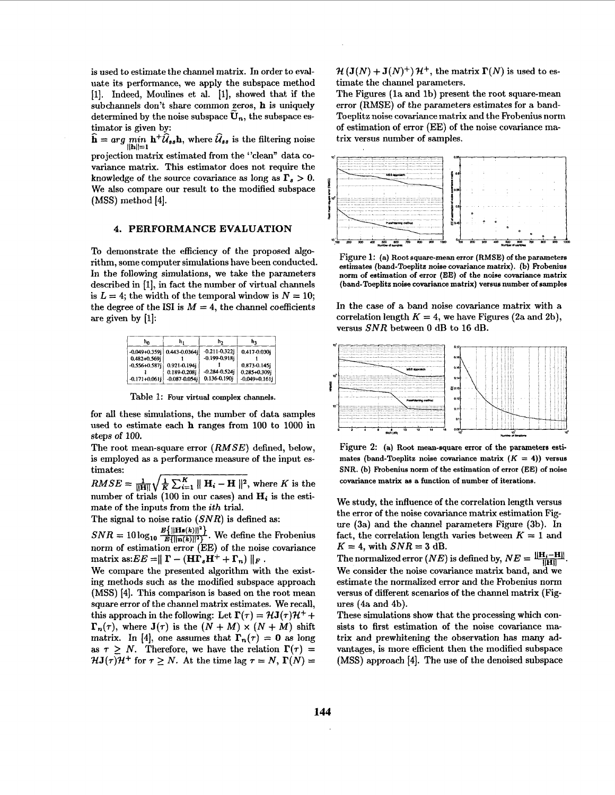is used to estimate the channel matrix. In order to evduate its performance, we apply the subspace method **[l].** Indeed, Moulines et al. **[l],** showed that if the subchannels don't share common zeros, **h** is uniquely determined by the noise subspace  $U_n$ , the subspace estimator is given by:

 $\widehat{\mathbf{h}} = arg \min_{\|\mathbf{h}\|=1} \mathbf{h}^+ \widehat{\mathcal{U}}_{ss} \mathbf{h}$ , where  $\widehat{\mathcal{U}}_{ss}$  is the filtering noise

projection matrix estimated from the "clean" data covariance matrix. This estimator does not require the knowledge of the source covariance as long as  $\Gamma_s > 0$ . We also compare our result to the modified subspace (MSS) method **[4].** 

#### **4. PERFORMANCE EVALUATION**

To demonstrate the efficiency *of* the proposed algorithm, some computer simulations have been conducted. In the following simulations, we take the parameters described in **[l],** in fact the number of virtual channels is  $L = 4$ ; the width of the temporal window is  $N = 10$ ; the degree of the **ISI** is  $M = 4$ , the channel coefficients are given by **[I]:** 

| հր                 | h,                               | h,                 | h2               |
|--------------------|----------------------------------|--------------------|------------------|
|                    | $-0.049 + 0.359$ ; 0.443-0.0364; | $-0.211 - 0.322i$  | 0.417-0.030j     |
| $0.482 + 0.569$    |                                  | $-0.199 - 0.918$ i |                  |
| $-0.556 + 0.587$ j | 0.921-0.194i                     |                    | 0,873-0.145      |
|                    | 0.189-0.208i                     | $-0.284 - 0.524i$  | $0.285 + 0.309$  |
| $-0.171 + 0.061$   | $-0.087 - 0.054i$                | 0.136-0.190i       | $-0.049 + 0.161$ |

Table **1: Four virtual complex channels.** 

for **all** these simulations, the number of data samples used to estimate each **h** ranges from **100** to **1000** in steps *of* **100.** 

The root mean-square error *(RMSE)* defined, below, is employed **as** a performance measure of the input estimates:

 $RMSE = \frac{1}{\|\mathbf{H}\|} \sqrt{\frac{1}{K} \sum_{i=1}^{K} ||\mathbf{H}_i - \mathbf{H}||^2}$ , where K is the number of trials (100 in our cases) and  $H_i$  is the estimate of the inputs from the *ith* trial.

The signal to noise ratio  $(SNR)$  is defined as:

 $SNR = 10 \log_{10} \frac{E\{||\mathbf{H}\mathbf{s}(k)||^2\}}{E\{||\mathbf{n}(k)||^2\}}$ . We define the Frobenius norm of estimation error (EE) of the noise covariance<br>matrix as: $EE = || \Gamma - (\mathbf{H} \Gamma_s \mathbf{H}^+ + \Gamma_n) ||_F$ .<br>We compare the presented algorithm with the exist-

ing methods such **as** the modified subspace approach **(MSS)** [4]. This comparison is based on the root mean square error of the channel matrix estimates. We recall, this approach in the following: Let  $\Gamma(\tau) = \mathcal{H} \mathbf{J}(\tau) \mathcal{H}^+ +$  $\Gamma_n(\tau)$ , where  $J(\tau)$  is the  $(N + M) \times (N + M)$  shift matrix. In [4], one assumes that  $\Gamma_n(\tau) = 0$  as long as  $\tau > N$ . Therefore, we have the relation  $\Gamma(\tau) =$  $\mathcal{H}J(\tau)\mathcal{H}^+$  for  $\tau \geq N$ . At the time lag  $\tau = N$ ,  $\Gamma(N) =$   $\mathcal{H}(\mathbf{J}(N) + \mathbf{J}(N)^+) \mathcal{H}^+$ , the matrix  $\mathbf{\Gamma}(N)$  is used to estimate the channel parameters.

The Figures (la and lb) present the root square-mean error (RMSE) *of* the parameters estimates for a band-Toeplitz noise covariance matrix and the Frobenius norm of estimation of error (EE) of the noise covariance matrix versus number of samples.



Figure 1: **(a) Root square-mean error (RMSE) of the parameters estimates (band-Toeplitz noise covariance matrix). (b) Frobenius norm of estimation of error (EE) of the noise covariance matrix (band-Toeplitz noise covariance matrix) versus number of samples** 

In the case of a band noise covariance matrix with a correlation length  $K = 4$ , we have Figures (2a and 2b), versus *SNR* between 0 dB to 16 dB.



Figure **2: (a) Root mean-square error of the parametere esti**mates (band-Toeplitz noise covariance matrix  $(K = 4)$ ) versus SNR. (b) Frobenius norm of the estimation of error (EE) of noise **covariance matrix as a function of number of iterations.** 

We study, the influence of the correlation length versus the error of the noise covariance matrix estimation Figure (3a) and the channel parameters Figure (3b). In fact, the correlation length varies between  $K = 1$  and  $K = 4$ , with  $SNR = 3$  dB.

The normalized error  $(NE)$  is defined by,  $NE = \frac{||\mathbf{H}_i - \mathbf{H}||}{||\mathbf{H}||}$ . We consider the noise covariance matrix band, and we estimate the normalized error and the Frobenius norm versus of different scenarios of the channel matrix (Figures (4a and 4b).

These simulations show that the processing which consists to first estimation of the noise covariance matrix and prewhitening the observation has many advantages, is more efficient then the modified subspace (MSS) approach **[4].** The use **of** the denoised subspace